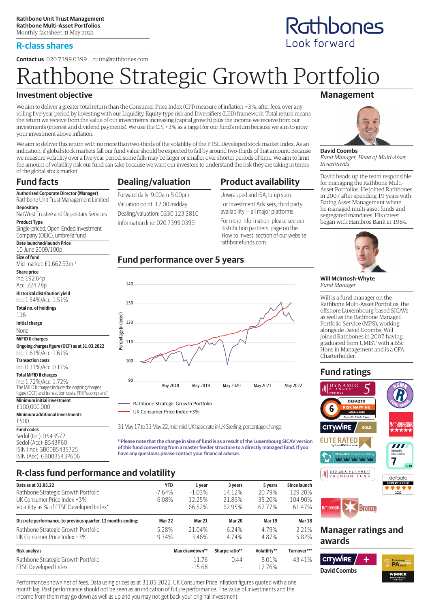## **R-class shares**

**Contact us** 020 7399 0399 rutm@rathbones.com

# Rathbone Strategic Growth Portfolio

## **Investment objective**

We aim to deliver a greater total return than the Consumer Price Index (CPI) measure of inflation +3%, after fees, over any rolling five-year period by investing with our Liquidity, Equity-type risk and Diversifiers (LED) framework. Total return means the return we receive from the value of our investments increasing (capital growth) plus the income we receive from our investments (interest and dividend payments). We use the CPI +3% as a target for our fund's return because we aim to grow your investment above inflation.

We aim to deliver this return with no more than two-thirds of the volatility of the FTSE Developed stock market Index. As an indication, if global stock markets fall our fund value should be expected to fall by around two-thirds of that amount. Because we measure volatility over a five-year period, some falls may be larger or smaller over shorter periods of time. We aim to limit the amount of volatility risk our fund can take because we want our investors to understand the risk they are taking in terms of the global stock market.

# **Fund facts**

**Depositary**

**Product Type**

**Share price** Inc: 192.64p Acc: 224.78p **Historical distribution yield** Inc: 1.54%/Acc: 1.51% **Total no. of holdings**

116 **Initial charge** None **MiFID II charges**

£500 **Fund codes**

**Authorised Corporate Director (Manager)** Rathbone Unit Trust Management Limited

NatWest Trustee and Depositary Services

Single-priced, Open-Ended Investment Company (OEIC), umbrella fund **Date launched/launch Price** 10 June 2009/100p **Size of fund**

**Ongoing charges figure (OCF) as at 31.03.2022**

The MiFID II charges include the ongoing charges figure (OCF) and transaction costs. PRIIPs compliant<sup>\*</sup>

Inc: 1.61%/Acc: 1.61% **Transaction costs** Inc: 0.11%/Acc: 0.11% **Total MiFID II charges** Inc: 1.72%/Acc: 1.72%

**Minimum initial investment** £100,000,000

Sedol (Inc): B543S72 Sedol (Acc): B543P60 ISIN (Inc): GB00B543S725 ISIN (Acc): GB00B543P606

**Minimum additional investments**

Mid-market: £1,662.93m††

# **Dealing/valuation**

Forward daily: 9.00am-5.00pm Valuation point: 12.00 midday Dealing/valuation: 0330 123 3810 Information line: 020 7399 0399

Unwrapped and ISA, lump sum. For Investment Advisers, third party

**Product availability**

availability — all major platforms. For more information, please see our 'distribution partners' page on the 'How to Invest' section of our website rathbonefunds.com

## **Fund performance over 5 years**



31 May 17 to 31 May 22, mid-mid, UK basic rate in UK Sterling, percentage change.

**††Please note that the change in size of fund is as a result of the Luxembourg SICAV version of this fund converting from a master feeder structure to a directly managed fund. If you have any questions please contact your financial adviser.**

# **R-class fund performance and volatility**

| Data as at 31.05.22                                          | <b>YTD</b> | 1 year         | 3 years                  | 5 years       | Since launch  |
|--------------------------------------------------------------|------------|----------------|--------------------------|---------------|---------------|
| Rathbone Strategic Growth Portfolio                          | $-7.64%$   | $-1.03\%$      | 14.12%                   | 20.79%        | 129.20%       |
| UK Consumer Price Index +3%                                  | 6.08%      | 12.25%         | 21.86%                   | 35.20%        | 104.90%       |
| Volatility as % of FTSE Developed Index*                     |            | 66.52%         | 62.95%                   | 62.77%        | 61.47%        |
| Discrete performance, to previous quarter. 12 months ending: | Mar 22     | Mar 21         | <b>Mar 20</b>            | <b>Mar 19</b> | <b>Mar 18</b> |
| Rathbone Strategic Growth Portfolio                          | 5.28%      | 21.04%         | $-6.24%$                 | 4.79%         | 2.21%         |
| UK Consumer Price Index +3%                                  | 9.34%      | 3.46%          | 4.74%                    | 4.87%         | 5.82%         |
| <b>Risk analysis</b>                                         |            | Max drawdown** | Sharpe ratio**           | Volatility**  | Turnover***   |
| Rathbone Strategic Growth Portfolio                          |            | $-1176$        | 0.44                     | 8.01%         | 43.41%        |
| FTSE Developed Index                                         |            | $-15.68$       | $\overline{\phantom{a}}$ | 12.76%        |               |

Performance shown net of fees. Data using prices as at 31.05.2022. UK Consumer Price Inflation figures quoted with a one month lag. Past performance should not be seen as an indication of future performance. The value of investments and the income from them may go down as well as up and you may not get back your original investment.

## **Management**

Rathbones

Look forward



**David Coombs** *Fund Manager, Head of Multi-Asset Investments*

David heads up the team responsible for managing the Rathbone Multi-Asset Portfolios. He joined Rathbones in 2007 after spending 19 years with Baring Asset Management where he managed multi-asset funds and segregated mandates. His career began with Hambros Bank in 1984.



**Will McIntosh-Whyte** *Fund Manager*

Will is a fund manager on the Rathbone Multi-Asset Portfolios, the offshore Luxembourg-based SICAVs as well as the Rathbone Managed Portfolio Service (MPS), working alongside David Coombs. Will joined Rathbones in 2007 having graduated from UMIST with a BSc Hons in Management and is a CFA Charterholder.

# **Fund ratings**



## **Manager ratings and awards**